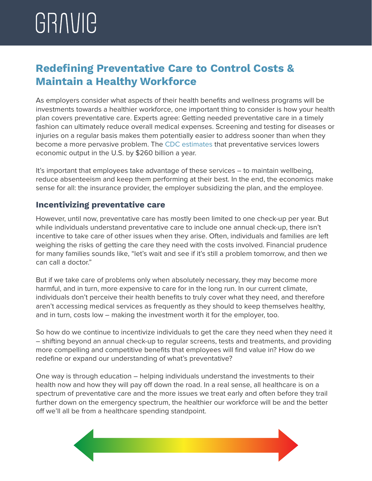## **Redefining Preventative Care to Control Costs & Maintain a Healthy Workforce**

As employers consider what aspects of their health benefits and wellness programs will be investments towards a healthier workforce, one important thing to consider is how your health plan covers preventative care. Experts agree: Getting needed preventative care in a timely fashion can ultimately reduce overall medical expenses. Screening and testing for diseases or injuries on a regular basis makes them potentially easier to address sooner than when they become a more pervasive problem. The [CDC estimates](https://healthpayerintelligence.com/news/how-preventive-healthcare-services-reduce-spending-for-payers) that preventative services lowers economic output in the U.S. by \$260 billion a year.

It's important that employees take advantage of these services – to maintain wellbeing, reduce absenteeism and keep them performing at their best. In the end, the economics make sense for all: the insurance provider, the employer subsidizing the plan, and the employee.

## **Incentivizing preventative care**

However, until now, preventative care has mostly been limited to one check-up per year. But while individuals understand preventative care to include one annual check-up, there isn't incentive to take care of other issues when they arise. Often, individuals and families are left weighing the risks of getting the care they need with the costs involved. Financial prudence for many families sounds like, "let's wait and see if it's still a problem tomorrow, and then we can call a doctor."

But if we take care of problems only when absolutely necessary, they may become more harmful, and in turn, more expensive to care for in the long run. In our current climate, individuals don't perceive their health benefits to truly cover what they need, and therefore aren't accessing medical services as frequently as they should to keep themselves healthy, and in turn, costs low – making the investment worth it for the employer, too.

So how do we continue to incentivize individuals to get the care they need when they need it – shifting beyond an annual check-up to regular screens, tests and treatments, and providing more compelling and competitive benefits that employees will find value in? How do we redefine or expand our understanding of what's preventative?

One way is through education – helping individuals understand the investments to their health now and how they will pay off down the road. In a real sense, all healthcare is on a spectrum of preventative care and the more issues we treat early and often before they trail further down on the emergency spectrum, the healthier our workforce will be and the better off we'll all be from a healthcare spending standpoint.